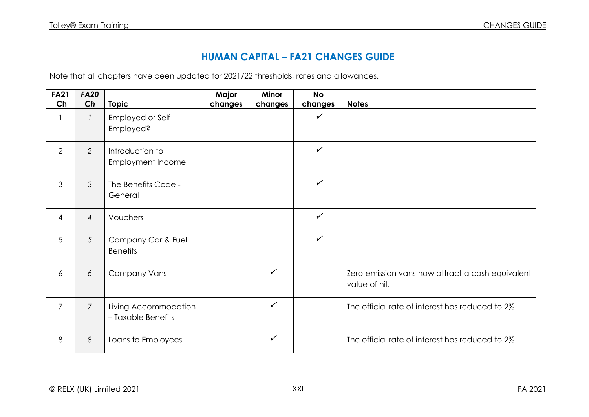## **HUMAN CAPITAL – FA21 CHANGES GUIDE**

Note that all chapters have been updated for 2021/22 thresholds, rates and allowances.

| <b>FA21</b><br>Ch | <b>FA20</b><br>Ch | <b>Topic</b>                               | Major<br>changes | <b>Minor</b><br>changes | <b>No</b><br>changes | <b>Notes</b>                                                      |
|-------------------|-------------------|--------------------------------------------|------------------|-------------------------|----------------------|-------------------------------------------------------------------|
|                   |                   | Employed or Self<br>Employed?              |                  |                         | $\checkmark$         |                                                                   |
| 2                 | $\overline{2}$    | Introduction to<br>Employment Income       |                  |                         | $\checkmark$         |                                                                   |
| 3                 | 3                 | The Benefits Code -<br>General             |                  |                         | $\checkmark$         |                                                                   |
| $\overline{4}$    | $\overline{4}$    | Vouchers                                   |                  |                         | $\checkmark$         |                                                                   |
| 5                 | $\mathfrak{S}$    | Company Car & Fuel<br><b>Benefits</b>      |                  |                         | $\checkmark$         |                                                                   |
| 6                 | 6                 | <b>Company Vans</b>                        |                  | $\checkmark$            |                      | Zero-emission vans now attract a cash equivalent<br>value of nil. |
| $\overline{7}$    | $\overline{7}$    | Living Accommodation<br>- Taxable Benefits |                  | $\checkmark$            |                      | The official rate of interest has reduced to 2%                   |
| 8                 | 8                 | Loans to Employees                         |                  | $\checkmark$            |                      | The official rate of interest has reduced to 2%                   |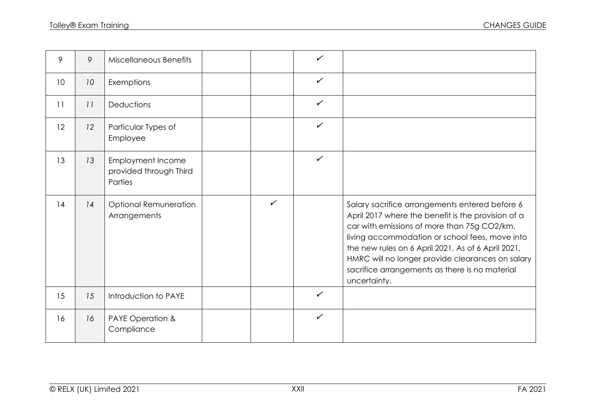| 9  | 9  | <b>Miscellaneous Benefits</b>                                 |              | $\checkmark$ |                                                                                                                                                                                                                                                                                                                                                                                   |
|----|----|---------------------------------------------------------------|--------------|--------------|-----------------------------------------------------------------------------------------------------------------------------------------------------------------------------------------------------------------------------------------------------------------------------------------------------------------------------------------------------------------------------------|
| 10 | 10 | Exemptions                                                    |              | $\checkmark$ |                                                                                                                                                                                                                                                                                                                                                                                   |
| 11 | 11 | Deductions                                                    |              | $\checkmark$ |                                                                                                                                                                                                                                                                                                                                                                                   |
| 12 | 12 | Particular Types of<br>Employee                               |              | $\checkmark$ |                                                                                                                                                                                                                                                                                                                                                                                   |
| 13 | 13 | <b>Employment Income</b><br>provided through Third<br>Parties |              | $\checkmark$ |                                                                                                                                                                                                                                                                                                                                                                                   |
| 14 | 14 | <b>Optional Remuneration</b><br>Arrangements                  | $\checkmark$ |              | Salary sacrifice arrangements entered before 6<br>April 2017 where the benefit is the provision of a<br>car with emissions of more than 75g CO2/km,<br>living accommodation or school fees, move into<br>the new rules on 6 April 2021. As of 6 April 2021,<br>HMRC will no longer provide clearances on salary<br>sacrifice arrangements as there is no material<br>uncertainty. |
| 15 | 15 | Introduction to PAYE                                          |              | $\checkmark$ |                                                                                                                                                                                                                                                                                                                                                                                   |
| 16 | 16 | PAYE Operation &<br>Compliance                                |              | $\checkmark$ |                                                                                                                                                                                                                                                                                                                                                                                   |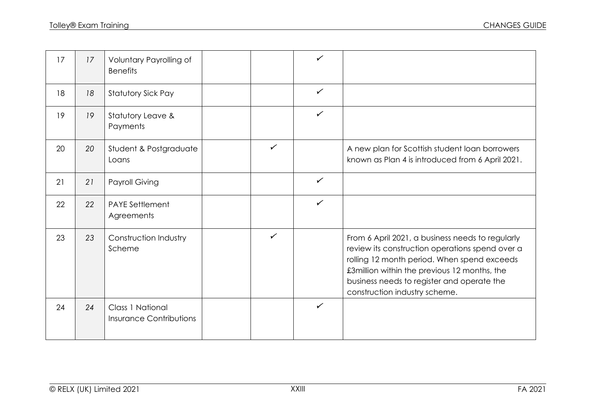| 17 | 17 | Voluntary Payrolling of<br><b>Benefits</b>         |              | $\checkmark$ |                                                                                                                                                                                                                                                                                   |
|----|----|----------------------------------------------------|--------------|--------------|-----------------------------------------------------------------------------------------------------------------------------------------------------------------------------------------------------------------------------------------------------------------------------------|
| 18 | 18 | Statutory Sick Pay                                 |              | $\checkmark$ |                                                                                                                                                                                                                                                                                   |
| 19 | 19 | Statutory Leave &<br>Payments                      |              | $\checkmark$ |                                                                                                                                                                                                                                                                                   |
| 20 | 20 | Student & Postgraduate<br>Loans                    | ✓            |              | A new plan for Scottish student loan borrowers<br>known as Plan 4 is introduced from 6 April 2021.                                                                                                                                                                                |
| 21 | 21 | Payroll Giving                                     |              | $\checkmark$ |                                                                                                                                                                                                                                                                                   |
| 22 | 22 | <b>PAYE Settlement</b><br>Agreements               |              | $\checkmark$ |                                                                                                                                                                                                                                                                                   |
| 23 | 23 | Construction Industry<br>Scheme                    | $\checkmark$ |              | From 6 April 2021, a business needs to regularly<br>review its construction operations spend over a<br>rolling 12 month period. When spend exceeds<br>£3million within the previous 12 months, the<br>business needs to register and operate the<br>construction industry scheme. |
| 24 | 24 | Class 1 National<br><b>Insurance Contributions</b> |              | $\checkmark$ |                                                                                                                                                                                                                                                                                   |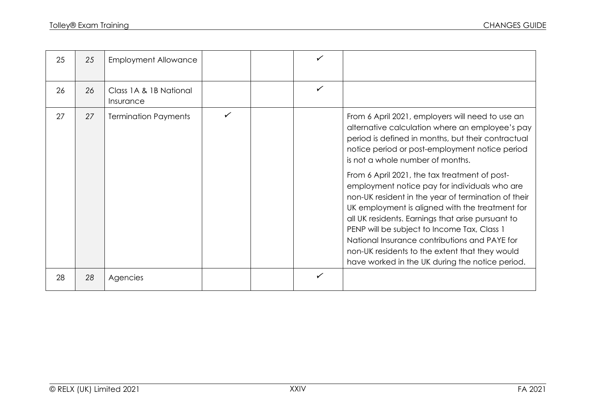| 25 | 25 | <b>Employment Allowance</b>         |              |   |                                                                                                                                                                                                                                                                                                                                                                                                                                                                                                                                                                                                                                                                                                                       |
|----|----|-------------------------------------|--------------|---|-----------------------------------------------------------------------------------------------------------------------------------------------------------------------------------------------------------------------------------------------------------------------------------------------------------------------------------------------------------------------------------------------------------------------------------------------------------------------------------------------------------------------------------------------------------------------------------------------------------------------------------------------------------------------------------------------------------------------|
| 26 | 26 | Class 1A & 1B National<br>Insurance |              | ✓ |                                                                                                                                                                                                                                                                                                                                                                                                                                                                                                                                                                                                                                                                                                                       |
| 27 | 27 | <b>Termination Payments</b>         | $\checkmark$ |   | From 6 April 2021, employers will need to use an<br>alternative calculation where an employee's pay<br>period is defined in months, but their contractual<br>notice period or post-employment notice period<br>is not a whole number of months.<br>From 6 April 2021, the tax treatment of post-<br>employment notice pay for individuals who are<br>non-UK resident in the year of termination of their<br>UK employment is aligned with the treatment for<br>all UK residents. Earnings that arise pursuant to<br>PENP will be subject to Income Tax, Class 1<br>National Insurance contributions and PAYE for<br>non-UK residents to the extent that they would<br>have worked in the UK during the notice period. |
| 28 | 28 | Agencies                            |              |   |                                                                                                                                                                                                                                                                                                                                                                                                                                                                                                                                                                                                                                                                                                                       |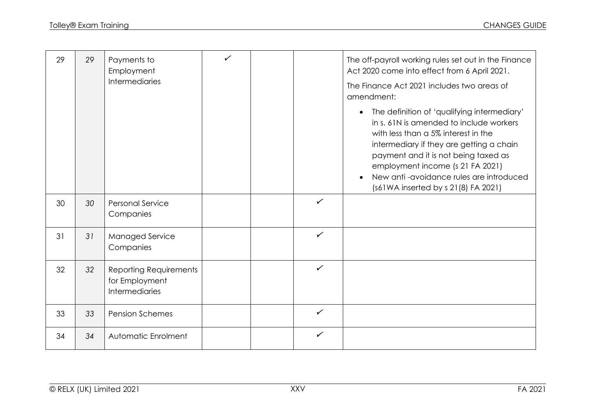| 29 | 29 | Payments to<br>Employment<br><b>Intermediaries</b>                | $\checkmark$ |              | The off-payroll working rules set out in the Finance<br>Act 2020 come into effect from 6 April 2021.<br>The Finance Act 2021 includes two areas of<br>amendment:                                                                                                                                                                                     |
|----|----|-------------------------------------------------------------------|--------------|--------------|------------------------------------------------------------------------------------------------------------------------------------------------------------------------------------------------------------------------------------------------------------------------------------------------------------------------------------------------------|
|    |    |                                                                   |              |              | The definition of 'qualifying intermediary'<br>$\bullet$<br>in s. 61N is amended to include workers<br>with less than a 5% interest in the<br>intermediary if they are getting a chain<br>payment and it is not being taxed as<br>employment income (s 21 FA 2021)<br>New anti-avoidance rules are introduced<br>(s61WA inserted by s 21(8) FA 2021) |
| 30 | 30 | <b>Personal Service</b><br>Companies                              |              | $\checkmark$ |                                                                                                                                                                                                                                                                                                                                                      |
| 31 | 31 | Managed Service<br>Companies                                      |              | $\checkmark$ |                                                                                                                                                                                                                                                                                                                                                      |
| 32 | 32 | Reporting Requirements<br>for Employment<br><b>Intermediaries</b> |              | $\checkmark$ |                                                                                                                                                                                                                                                                                                                                                      |
| 33 | 33 | <b>Pension Schemes</b>                                            |              | $\checkmark$ |                                                                                                                                                                                                                                                                                                                                                      |
| 34 | 34 | Automatic Enrolment                                               |              | $\checkmark$ |                                                                                                                                                                                                                                                                                                                                                      |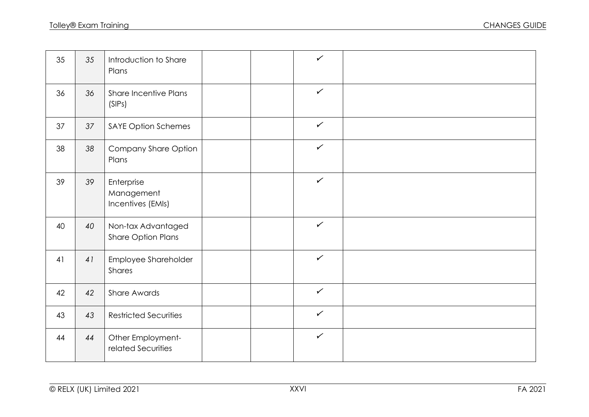| 35 | 35 | Introduction to Share<br>Plans                  |  | $\checkmark$ |  |
|----|----|-------------------------------------------------|--|--------------|--|
| 36 | 36 | <b>Share Incentive Plans</b><br>(SIPS)          |  | $\checkmark$ |  |
| 37 | 37 | <b>SAYE Option Schemes</b>                      |  | $\checkmark$ |  |
| 38 | 38 | Company Share Option<br>Plans                   |  | $\checkmark$ |  |
| 39 | 39 | Enterprise<br>Management<br>Incentives (EMIs)   |  | $\checkmark$ |  |
| 40 | 40 | Non-tax Advantaged<br><b>Share Option Plans</b> |  | $\checkmark$ |  |
| 41 | 41 | Employee Shareholder<br>Shares                  |  | $\checkmark$ |  |
| 42 | 42 | Share Awards                                    |  | $\checkmark$ |  |
| 43 | 43 | <b>Restricted Securities</b>                    |  | $\checkmark$ |  |
| 44 | 44 | Other Employment-<br>related Securities         |  | $\checkmark$ |  |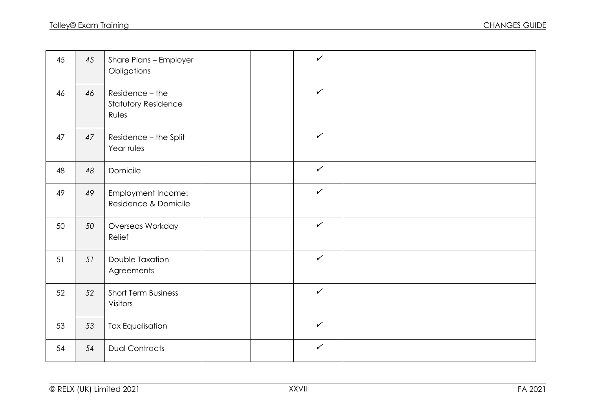| 45 | 45 | Share Plans - Employer<br>Obligations           |  | $\checkmark$ |  |
|----|----|-------------------------------------------------|--|--------------|--|
| 46 | 46 | Residence - the<br>Statutory Residence<br>Rules |  | $\checkmark$ |  |
| 47 | 47 | Residence - the Split<br>Year rules             |  | $\checkmark$ |  |
| 48 | 48 | Domicile                                        |  | $\checkmark$ |  |
| 49 | 49 | Employment Income:<br>Residence & Domicile      |  | $\checkmark$ |  |
| 50 | 50 | Overseas Workday<br>Relief                      |  | $\checkmark$ |  |
| 51 | 51 | Double Taxation<br>Agreements                   |  | $\checkmark$ |  |
| 52 | 52 | <b>Short Term Business</b><br>Visitors          |  | $\checkmark$ |  |
| 53 | 53 | <b>Tax Equalisation</b>                         |  | $\checkmark$ |  |
| 54 | 54 | <b>Dual Contracts</b>                           |  | $\checkmark$ |  |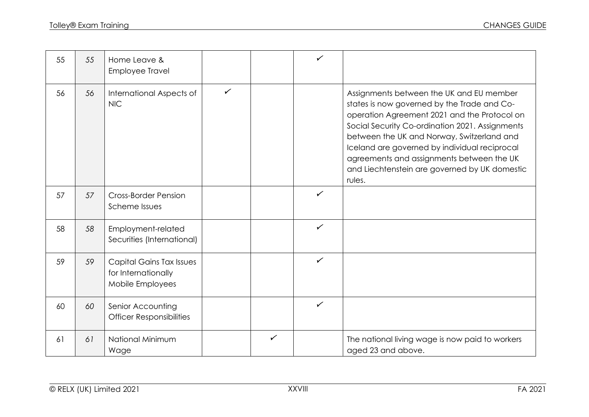| 55 | 55 | Home Leave &<br><b>Employee Travel</b>                                     |              |              | $\checkmark$ |                                                                                                                                                                                                                                                                                                                                                                                                   |
|----|----|----------------------------------------------------------------------------|--------------|--------------|--------------|---------------------------------------------------------------------------------------------------------------------------------------------------------------------------------------------------------------------------------------------------------------------------------------------------------------------------------------------------------------------------------------------------|
| 56 | 56 | International Aspects of<br><b>NIC</b>                                     | $\checkmark$ |              |              | Assignments between the UK and EU member<br>states is now governed by the Trade and Co-<br>operation Agreement 2021 and the Protocol on<br>Social Security Co-ordination 2021. Assignments<br>between the UK and Norway, Switzerland and<br>Iceland are governed by individual reciprocal<br>agreements and assignments between the UK<br>and Liechtenstein are governed by UK domestic<br>rules. |
| 57 | 57 | <b>Cross-Border Pension</b><br>Scheme Issues                               |              |              | $\checkmark$ |                                                                                                                                                                                                                                                                                                                                                                                                   |
| 58 | 58 | Employment-related<br>Securities (International)                           |              |              | $\checkmark$ |                                                                                                                                                                                                                                                                                                                                                                                                   |
| 59 | 59 | <b>Capital Gains Tax Issues</b><br>for Internationally<br>Mobile Employees |              |              | ✓            |                                                                                                                                                                                                                                                                                                                                                                                                   |
| 60 | 60 | Senior Accounting<br><b>Officer Responsibilities</b>                       |              |              | $\checkmark$ |                                                                                                                                                                                                                                                                                                                                                                                                   |
| 61 | 61 | National Minimum<br>Wage                                                   |              | $\checkmark$ |              | The national living wage is now paid to workers<br>aged 23 and above.                                                                                                                                                                                                                                                                                                                             |